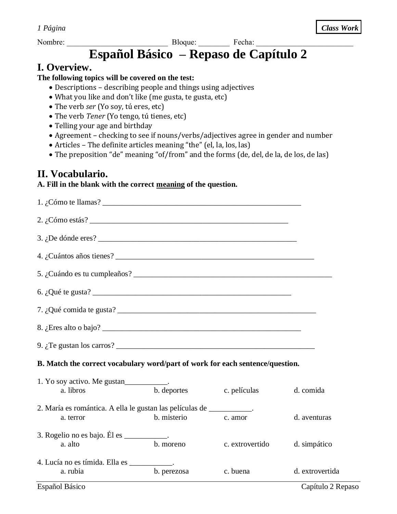Nombre: \_\_\_\_\_\_\_\_\_\_\_\_\_\_\_\_\_\_\_\_\_\_\_\_\_\_ Bloque: \_\_\_\_\_\_\_\_ Fecha: \_\_\_\_\_\_\_\_\_\_\_\_\_\_\_\_\_\_\_\_\_\_\_\_\_

# **Español Básico – Repaso de Capítulo 2**

# **I. Overview.**

#### **The following topics will be covered on the test:**

- Descriptions describing people and things using adjectives
- What you like and don't like (me gusta, te gusta, etc)
- The verb *ser* (Yo soy, tú eres, etc)
- The verb *Tener* (Yo tengo, tú tienes, etc)
- Telling your age and birthday
- Agreement checking to see if nouns/verbs/adjectives agree in gender and number
- Articles The definite articles meaning "the" (el, la, los, las)
- The preposition "de" meaning "of/from" and the forms (de, del, de la, de los, de las)

# **II. Vocabulario.**

## **A. Fill in the blank with the correct meaning of the question.**

| 2. $\frac{1}{6}$ Cómo estás?                                                      |             |                 |                 |
|-----------------------------------------------------------------------------------|-------------|-----------------|-----------------|
|                                                                                   |             |                 |                 |
|                                                                                   |             |                 |                 |
|                                                                                   |             |                 |                 |
| 6. $i$ Qué te gusta?                                                              |             |                 |                 |
|                                                                                   |             |                 |                 |
|                                                                                   |             |                 |                 |
| 9. $i$ Te gustan los carros?                                                      |             |                 |                 |
| B. Match the correct vocabulary word/part of work for each sentence/question.     |             |                 |                 |
| 1. Yo soy activo. Me gustan____________.<br>a. libros                             | b. deportes | c. películas    | d. comida       |
| 2. María es romántica. A ella le gustan las películas de __________.<br>a. terror | b. misterio | c. amor         | d. aventuras    |
| 3. Rogelio no es bajo. Él es $\frac{\ }{\ }$ .<br>a. alto                         | b. moreno   | c. extrovertido | d. simpático    |
| 4. Lucía no es tímida. Ella es ___________.<br>a. rubia                           | b. perezosa | c. buena        | d. extrovertida |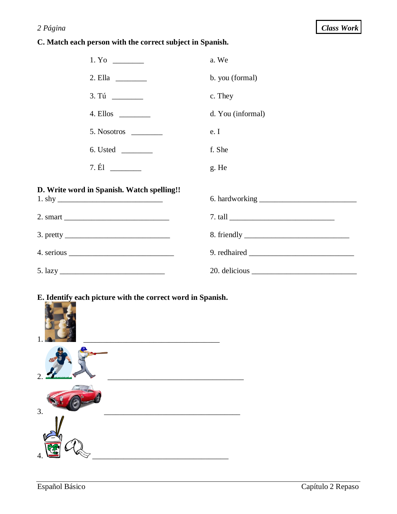### 2 Página

#### C. Match each person with the correct subject in Spanish.

| 1. Yo                                                                                                                                                                                                                                                                                                                                                                                                                     | a. We             |
|---------------------------------------------------------------------------------------------------------------------------------------------------------------------------------------------------------------------------------------------------------------------------------------------------------------------------------------------------------------------------------------------------------------------------|-------------------|
| 2. Ella                                                                                                                                                                                                                                                                                                                                                                                                                   | b. you (formal)   |
| 3. Tú                                                                                                                                                                                                                                                                                                                                                                                                                     | c. They           |
| 4. Ellos _________                                                                                                                                                                                                                                                                                                                                                                                                        | d. You (informal) |
| 5. Nosotros                                                                                                                                                                                                                                                                                                                                                                                                               | e. I              |
|                                                                                                                                                                                                                                                                                                                                                                                                                           | f. She            |
|                                                                                                                                                                                                                                                                                                                                                                                                                           | g. He             |
| D. Write word in Spanish. Watch spelling!!                                                                                                                                                                                                                                                                                                                                                                                |                   |
|                                                                                                                                                                                                                                                                                                                                                                                                                           |                   |
|                                                                                                                                                                                                                                                                                                                                                                                                                           |                   |
| 3. pretty $\frac{1}{\sqrt{1-\frac{1}{\sqrt{1-\frac{1}{\sqrt{1-\frac{1}{\sqrt{1-\frac{1}{\sqrt{1-\frac{1}{\sqrt{1-\frac{1}{\sqrt{1-\frac{1}{\sqrt{1-\frac{1}{\sqrt{1-\frac{1}{\sqrt{1-\frac{1}{\sqrt{1-\frac{1}{\sqrt{1-\frac{1}{\sqrt{1-\frac{1}{\sqrt{1-\frac{1}{\sqrt{1-\frac{1}{\sqrt{1-\frac{1}{\sqrt{1-\frac{1}{\sqrt{1-\frac{1}{\sqrt{1-\frac{1}{\sqrt{1-\frac{1}{\sqrt{1-\frac{1}{\sqrt{1-\frac{1}{\sqrt{1-\frac{$ |                   |
|                                                                                                                                                                                                                                                                                                                                                                                                                           |                   |
| $5. \text{lazy}$                                                                                                                                                                                                                                                                                                                                                                                                          |                   |

# E. Identify each picture with the correct word in Spanish.

| $\overline{2}$ |  |
|----------------|--|
| 3.             |  |
| 4              |  |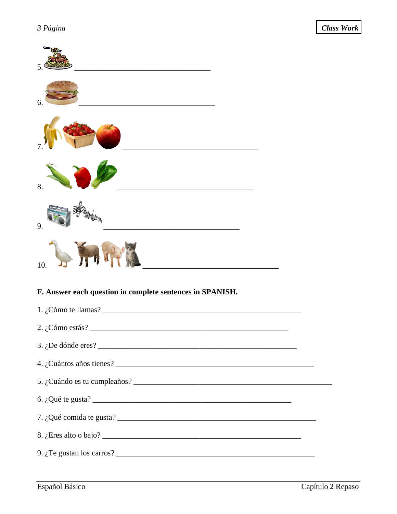| 6.                                                                                                                                                                                                                                    |
|---------------------------------------------------------------------------------------------------------------------------------------------------------------------------------------------------------------------------------------|
|                                                                                                                                                                                                                                       |
| 8.                                                                                                                                                                                                                                    |
| 9.                                                                                                                                                                                                                                    |
| 10.                                                                                                                                                                                                                                   |
| F. Answer each question in complete sentences in SPANISH.                                                                                                                                                                             |
| 1. ¿Cómo te llamas? $\qquad \qquad$                                                                                                                                                                                                   |
|                                                                                                                                                                                                                                       |
| 3. $i$ De dónde eres?                                                                                                                                                                                                                 |
| 4. ¿Cuántos años tienes?<br><u>Les años tienes</u> en la contrada de la contrada de la contrada de la contrada de la contrada de la contrada de la contrada de la contrada de la contrada de la contrada de la contrada de la contrad |
|                                                                                                                                                                                                                                       |
|                                                                                                                                                                                                                                       |
|                                                                                                                                                                                                                                       |
|                                                                                                                                                                                                                                       |
| 9. $\zeta$ Te gustan los carros?                                                                                                                                                                                                      |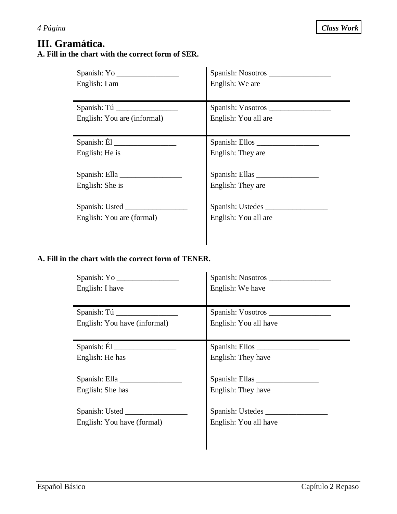# **III. Gramática. A. Fill in the chart with the correct form of SER.**

| English: I am               | Spanish: Nosotros<br>English: We are |
|-----------------------------|--------------------------------------|
| Spanish: Tú                 |                                      |
| English: You are (informal) | English: You all are                 |
| Spanish: $\hat{E}$ l        |                                      |
| English: He is              | English: They are                    |
| English: She is             | Spanish: Ellas<br>English: They are  |
|                             | Spanish: Ustedes                     |
| English: You are (formal)   | English: You all are                 |
|                             |                                      |

## **A. Fill in the chart with the correct form of TENER.**

|                              | Spanish: Nosotros     |
|------------------------------|-----------------------|
| English: I have              | English: We have      |
| Spanish: Tú                  | Spanish: Vosotros     |
| English: You have (informal) | English: You all have |
| Spanish: $\tilde{E}$ l       |                       |
| English: He has              | English: They have    |
|                              |                       |
| English: She has             | English: They have    |
|                              | Spanish: Ustedes      |
| English: You have (formal)   | English: You all have |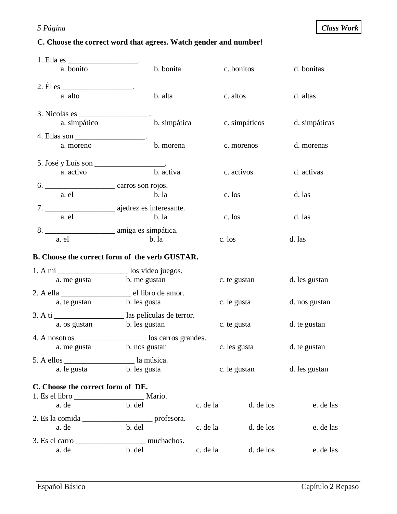# **C. Choose the correct word that agrees. Watch gender and number!**

| 1. Ella es ________________________.     |                                                             |          |               |               |
|------------------------------------------|-------------------------------------------------------------|----------|---------------|---------------|
| a. bonito                                | b. bonita                                                   |          | c. bonitos    | d. bonitas    |
| 2. $E1$ es _________________________.    |                                                             |          |               |               |
| a. alto                                  | b. alta                                                     |          | c. altos      | d. altas      |
|                                          |                                                             |          |               |               |
| a. simpático                             | b. simpática                                                |          | c. simpáticos | d. simpáticas |
| 4. Ellas son __________________________. |                                                             |          |               |               |
| a. moreno                                | b. morena                                                   |          | c. morenos    | d. morenas    |
| 5. José y Luís son ____________________. |                                                             |          |               |               |
| a. activo                                | b. activa                                                   |          | c. activos    | d. activas    |
|                                          |                                                             |          |               |               |
| a. el                                    | b. la                                                       |          | c. los        | d. las        |
|                                          |                                                             |          |               |               |
| a. el                                    | $b.$ la                                                     |          | c. los        | d. las        |
|                                          |                                                             |          |               |               |
| a. el                                    | $b.$ la                                                     | c. los   |               | d. las        |
|                                          | B. Choose the correct form of the verb GUSTAR.              |          |               |               |
|                                          | 1. A mí ________________________ los video juegos.          |          |               |               |
| a. me gusta                              | b. me gustan                                                |          | c. te gustan  | d. les gustan |
|                                          |                                                             |          |               |               |
| a. te gustan                             | b. les gusta                                                |          | c. le gusta   | d. nos gustan |
|                                          | 3. A ti ______________________ las películas de terror.     |          |               |               |
| a. os gustan                             | b. les gustan                                               |          | c. te gusta   | d. te gustan  |
|                                          | 4. A nosotros _________________________ los carros grandes. |          |               |               |
| a. me gusta                              | b. nos gustan                                               |          | c. les gusta  | d. te gustan  |
|                                          |                                                             |          |               |               |
| a. le gusta                              | b. les gusta                                                |          | c. le gustan  | d. les gustan |
| C. Choose the correct form of DE.        |                                                             |          |               |               |
|                                          |                                                             |          |               |               |
| a. de                                    | b. del                                                      | c. de la | d. de los     | e. de las     |
|                                          |                                                             |          |               |               |
| a. de                                    | b. del                                                      | c. de la | d. de los     | e. de las     |
|                                          |                                                             |          |               |               |
| a. de                                    | b. del                                                      | c. de la | d. de los     | e. de las     |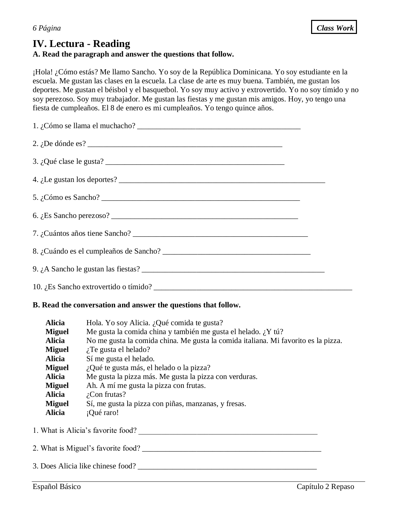# **IV. Lectura - Reading**

## **A. Read the paragraph and answer the questions that follow.**

¡Hola! ¿Cómo estás? Me llamo Sancho. Yo soy de la República Dominicana. Yo soy estudiante en la escuela. Me gustan las clases en la escuela. La clase de arte es muy buena. También, me gustan los deportes. Me gustan el béisbol y el basquetbol. Yo soy muy activo y extrovertido. Yo no soy tímido y no soy perezoso. Soy muy trabajador. Me gustan las fiestas y me gustan mis amigos. Hoy, yo tengo una fiesta de cumpleaños. El 8 de enero es mi cumpleaños. Yo tengo quince años.

| 2. $i$ De dónde es?     |  |
|-------------------------|--|
| 3. ¿Qué clase le gusta? |  |
|                         |  |
|                         |  |
|                         |  |
|                         |  |
|                         |  |
|                         |  |
|                         |  |

#### **B. Read the conversation and answer the questions that follow.**

| <b>Alicia</b> | Hola. Yo soy Alicia. ¿Qué comida te gusta?                                         |
|---------------|------------------------------------------------------------------------------------|
| <b>Miguel</b> | Me gusta la comida china y también me gusta el helado. ¿Y tú?                      |
| <b>Alicia</b> | No me gusta la comida china. Me gusta la comida italiana. Mi favorito es la pizza. |
| <b>Miguel</b> | $i$ . Te gusta el helado?                                                          |
| <b>Alicia</b> | Sí me gusta el helado.                                                             |
| <b>Miguel</b> | ¿Qué te gusta más, el helado o la pizza?                                           |
| <b>Alicia</b> | Me gusta la pizza más. Me gusta la pizza con verduras.                             |
| <b>Miguel</b> | Ah. A mí me gusta la pizza con frutas.                                             |
| <b>Alicia</b> | $i$ Con frutas?                                                                    |
| <b>Miguel</b> | Sí, me gusta la pizza con piñas, manzanas, y fresas.                               |
| <b>Alicia</b> | ¡Qué raro!                                                                         |
|               |                                                                                    |

- 1. What is Alicia's favorite food?
- 2. What is Miguel's favorite food?
- 3. Does Alicia like chinese food? \_\_\_\_\_\_\_\_\_\_\_\_\_\_\_\_\_\_\_\_\_\_\_\_\_\_\_\_\_\_\_\_\_\_\_\_\_\_\_\_\_\_\_\_\_\_